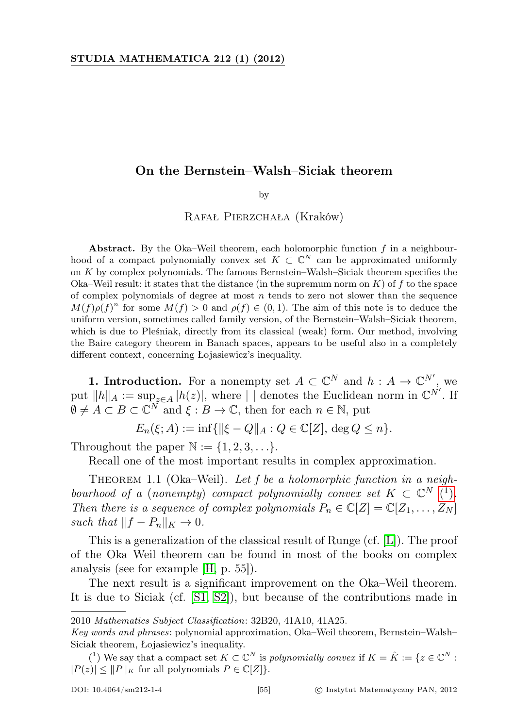## On the Bernstein–Walsh–Siciak theorem

by

Rafał Pierzchała (Kraków)

Abstract. By the Oka–Weil theorem, each holomorphic function  $f$  in a neighbourhood of a compact polynomially convex set  $K \subset \mathbb{C}^N$  can be approximated uniformly on K by complex polynomials. The famous Bernstein–Walsh–Siciak theorem specifies the Oka–Weil result: it states that the distance (in the supremum norm on  $K$ ) of  $f$  to the space of complex polynomials of degree at most  $n$  tends to zero not slower than the sequence  $M(f)\rho(f)^n$  for some  $M(f) > 0$  and  $\rho(f) \in (0,1)$ . The aim of this note is to deduce the uniform version, sometimes called family version, of the Bernstein–Walsh–Siciak theorem, which is due to Pleśniak, directly from its classical (weak) form. Our method, involving the Baire category theorem in Banach spaces, appears to be useful also in a completely different context, concerning Łojasiewicz's inequality.

**1. Introduction.** For a nonempty set  $A \subset \mathbb{C}^N$  and  $h : A \to \mathbb{C}^{N'}$ , we put  $||h||_A := \sup_{z \in A} |h(z)|$ , where | | denotes the Euclidean norm in  $\mathbb{C}^{N'}$ . If  $\emptyset \neq A \subset B \subset \mathbb{C}^N$  and  $\xi : B \to \mathbb{C}$ , then for each  $n \in \mathbb{N}$ , put

 $E_n(\xi; A) := \inf \{ ||\xi - Q||_A : Q \in \mathbb{C}[Z], \deg Q \leq n \}.$ 

Throughout the paper  $\mathbb{N} := \{1, 2, 3, \ldots\}.$ 

Recall one of the most important results in complex approximation.

THEOREM 1.1 (Oka–Weil). Let f be a holomorphic function in a neigh-bourhood of a [\(](#page-0-0)nonempty) compact polynomially convex set  $K \subset \mathbb{C}^N$  (<sup>1</sup>). Then there is a sequence of complex polynomials  $P_n \in \mathbb{C}[Z] = \mathbb{C}[Z_1, \ldots, Z_N]$ such that  $||f - P_n||_K \to 0$ .

This is a generalization of the classical result of Runge (cf. [\[L\]](#page-8-0)). The proof of the Oka–Weil theorem can be found in most of the books on complex analysis (see for example [\[H,](#page-8-1) p. 55]).

The next result is a significant improvement on the Oka–Weil theorem. It is due to Siciak (cf. [\[S1,](#page-8-2) [S2\]](#page-8-3)), but because of the contributions made in

<sup>2010</sup> Mathematics Subject Classification: 32B20, 41A10, 41A25.

Key words and phrases: polynomial approximation, Oka–Weil theorem, Bernstein–Walsh– Siciak theorem, Łojasiewicz's inequality.

<span id="page-0-0"></span><sup>(&</sup>lt;sup>1</sup>) We say that a compact set  $K \subset \mathbb{C}^N$  is polynomially convex if  $K = \hat{K} := \{z \in \mathbb{C}^N : z \in \mathbb{C}^N\}$  $|P(z)| \leq ||P||_K$  for all polynomials  $P \in \mathbb{C}[Z]$ .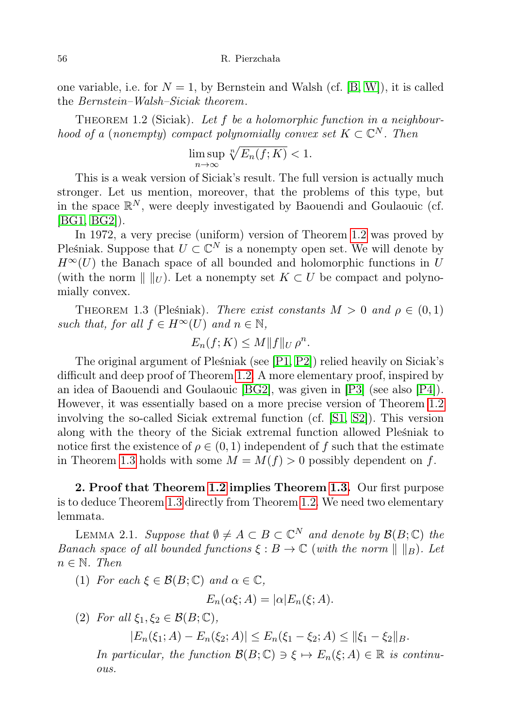one variable, i.e. for  $N = 1$ , by Bernstein and Walsh (cf. [\[B,](#page-8-4) [W\]](#page-8-5)), it is called the Bernstein–Walsh–Siciak theorem.

<span id="page-1-0"></span>THEOREM 1.2 (Siciak). Let  $f$  be a holomorphic function in a neighbourhood of a (nonempty) compact polynomially convex set  $K \subset \mathbb{C}^N$ . Then

$$
\limsup_{n \to \infty} \sqrt[n]{E_n(f;K)} < 1.
$$

This is a weak version of Siciak's result. The full version is actually much stronger. Let us mention, moreover, that the problems of this type, but in the space  $\mathbb{R}^N$ , were deeply investigated by Baouendi and Goulaouic (cf. [\[BG1,](#page-8-6) [BG2\]](#page-8-7)).

In 1972, a very precise (uniform) version of Theorem [1.2](#page-1-0) was proved by Pleśniak. Suppose that  $U \subset \mathbb{C}^N$  is a nonempty open set. We will denote by  $H^{\infty}(U)$  the Banach space of all bounded and holomorphic functions in U (with the norm  $\| \ \|_{U}$ ). Let a nonempty set  $K \subset U$  be compact and polynomially convex.

<span id="page-1-1"></span>THEOREM 1.3 (Pleśniak). There exist constants  $M > 0$  and  $\rho \in (0,1)$ such that, for all  $f \in H^{\infty}(U)$  and  $n \in \mathbb{N}$ ,

$$
E_n(f;K) \leq M \|f\|_{U} \rho^n.
$$

The original argument of Pleśniak (see [\[P1,](#page-8-8) [P2\]](#page-8-9)) relied heavily on Siciak's difficult and deep proof of Theorem [1.2.](#page-1-0) A more elementary proof, inspired by an idea of Baouendi and Goulaouic [\[BG2\]](#page-8-7), was given in [\[P3\]](#page-8-10) (see also [\[P4\]](#page-8-11)). However, it was essentially based on a more precise version of Theorem [1.2](#page-1-0) involving the so-called Siciak extremal function (cf. [\[S1,](#page-8-2) [S2\]](#page-8-3)). This version along with the theory of the Siciak extremal function allowed Pleśniak to notice first the existence of  $\rho \in (0,1)$  independent of f such that the estimate in Theorem [1.3](#page-1-1) holds with some  $M = M(f) > 0$  possibly dependent on f.

2. Proof that Theorem [1.2](#page-1-0) implies Theorem [1.3.](#page-1-1) Our first purpose is to deduce Theorem [1.3](#page-1-1) directly from Theorem [1.2.](#page-1-0) We need two elementary lemmata.

<span id="page-1-2"></span>LEMMA 2.1. Suppose that  $\emptyset \neq A \subset B \subset \mathbb{C}^N$  and denote by  $\mathcal{B}(B;\mathbb{C})$  the Banach space of all bounded functions  $\xi : B \to \mathbb{C}$  (with the norm  $\| \ \|_B$ ). Let  $n \in \mathbb{N}$ . Then

(1) For each  $\xi \in \mathcal{B}(B;\mathbb{C})$  and  $\alpha \in \mathbb{C}$ ,

$$
E_n(\alpha \xi; A) = |\alpha| E_n(\xi; A).
$$

(2) For all  $\xi_1, \xi_2 \in \mathcal{B}(B; \mathbb{C}),$ 

 $|E_n(\xi_1; A) - E_n(\xi_2; A)| \le E_n(\xi_1 - \xi_2; A) \le ||\xi_1 - \xi_2||_B.$ 

In particular, the function  $\mathcal{B}(B;\mathbb{C}) \ni \xi \mapsto E_n(\xi;A) \in \mathbb{R}$  is continuous.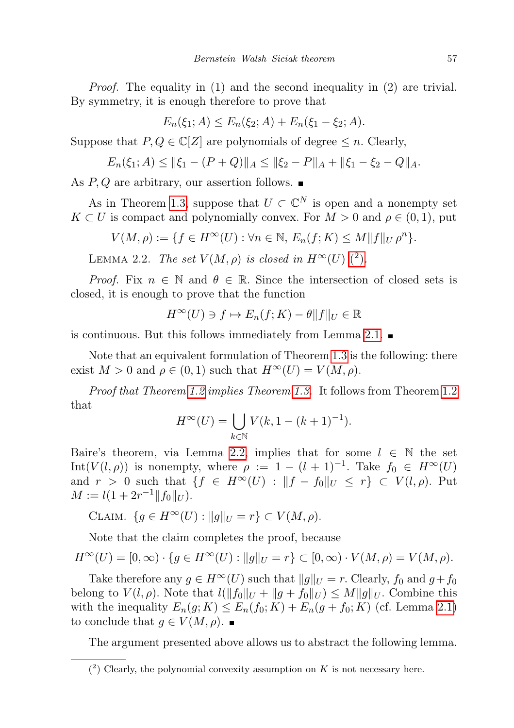Proof. The equality in (1) and the second inequality in (2) are trivial. By symmetry, it is enough therefore to prove that

$$
E_n(\xi_1; A) \le E_n(\xi_2; A) + E_n(\xi_1 - \xi_2; A).
$$

Suppose that  $P, Q \in \mathbb{C}[Z]$  are polynomials of degree  $\leq n$ . Clearly,

$$
E_n(\xi_1; A) \le ||\xi_1 - (P + Q)||_A \le ||\xi_2 - P||_A + ||\xi_1 - \xi_2 - Q||_A.
$$

As  $P, Q$  are arbitrary, our assertion follows.  $\blacksquare$ 

As in Theorem [1.3,](#page-1-1) suppose that  $U \subset \mathbb{C}^N$  is open and a nonempty set  $K \subset U$  is compact and polynomially convex. For  $M > 0$  and  $\rho \in (0,1)$ , put

$$
V(M,\rho) := \{ f \in H^{\infty}(U) : \forall n \in \mathbb{N}, E_n(f;K) \le M \| f \|_{U} \rho^n \}.
$$

<span id="page-2-1"></span>LEMMA 2.2. The set  $V(M, \rho)$  $V(M, \rho)$  $V(M, \rho)$  is closed in  $H^{\infty}(U)$  (<sup>2</sup>).

*Proof.* Fix  $n \in \mathbb{N}$  and  $\theta \in \mathbb{R}$ . Since the intersection of closed sets is closed, it is enough to prove that the function

$$
H^{\infty}(U) \ni f \mapsto E_n(f;K) - \theta ||f||_U \in \mathbb{R}
$$

is continuous. But this follows immediately from Lemma [2.1.](#page-1-2)

Note that an equivalent formulation of Theorem [1.3](#page-1-1) is the following: there exist  $M > 0$  and  $\rho \in (0, 1)$  such that  $H^{\infty}(U) = V(M, \rho)$ .

Proof that Theorem [1.2](#page-1-0) implies Theorem [1.3.](#page-1-1) It follows from Theorem [1.2](#page-1-0) that

$$
H^{\infty}(U) = \bigcup_{k \in \mathbb{N}} V(k, 1 - (k+1)^{-1}).
$$

Baire's theorem, via Lemma [2.2,](#page-2-1) implies that for some  $l \in \mathbb{N}$  the set Int( $V(l, \rho)$ ) is nonempty, where  $\rho := 1 - (l + 1)^{-1}$ . Take  $f_0 \in H^{\infty}(U)$ and  $r > 0$  such that  $\{f \in H^{\infty}(U) : ||f - f_0||_U \leq r\} \subset V(l, \rho)$ . Put  $M := l(1 + 2r^{-1} ||f_0||_U).$ 

$$
\text{CLAIM. } \{ g \in H^{\infty}(U) : ||g||_{U} = r \} \subset V(M, \rho).
$$

Note that the claim completes the proof, because

$$
H^{\infty}(U) = [0, \infty) \cdot \{ g \in H^{\infty}(U) : ||g||_{U} = r \} \subset [0, \infty) \cdot V(M, \rho) = V(M, \rho).
$$

Take therefore any  $g \in H^{\infty}(U)$  such that  $||g||_U = r$ . Clearly,  $f_0$  and  $g+f_0$ belong to  $V(l, \rho)$ . Note that  $l(||f_0||_U + ||g + f_0||_U) \leq M||g||_U$ . Combine this with the inequality  $E_n(g; K) \leq E_n(f_0; K) + E_n(g + f_0; K)$  (cf. Lemma [2.1\)](#page-1-2) to conclude that  $g \in V(M, \rho)$ .

The argument presented above allows us to abstract the following lemma.

<span id="page-2-0"></span> $(2)$  Clearly, the polynomial convexity assumption on K is not necessary here.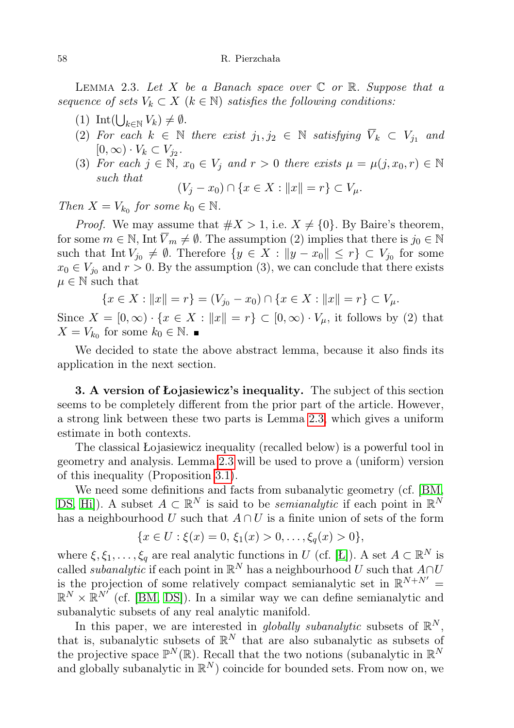<span id="page-3-0"></span>LEMMA 2.3. Let X be a Banach space over  $\mathbb C$  or  $\mathbb R$ . Suppose that a sequence of sets  $V_k \subset X$  ( $k \in \mathbb{N}$ ) satisfies the following conditions:

- (1) Int $\left(\bigcup_{k\in\mathbb{N}} V_k\right)\neq\emptyset$ .
- (2) For each  $k \in \mathbb{N}$  there exist  $j_1, j_2 \in \mathbb{N}$  satisfying  $\overline{V}_k \subset V_j$  and  $[0,\infty)\cdot V_k\subset V_{j_2}.$
- (3) For each  $j \in \mathbb{N}$ ,  $x_0 \in V_j$  and  $r > 0$  there exists  $\mu = \mu(j, x_0, r) \in \mathbb{N}$ such that

$$
(V_j - x_0) \cap \{x \in X : ||x|| = r\} \subset V_\mu.
$$

Then  $X = V_{k_0}$  for some  $k_0 \in \mathbb{N}$ .

*Proof.* We may assume that  $\#X > 1$ , i.e.  $X \neq \{0\}$ . By Baire's theorem, for some  $m \in \mathbb{N}$ , Int  $\overline{V}_m \neq \emptyset$ . The assumption (2) implies that there is  $j_0 \in \mathbb{N}$ such that  $\text{Int } V_{j_0} \neq \emptyset$ . Therefore  $\{y \in X : ||y - x_0|| \leq r\} \subset V_{j_0}$  for some  $x_0 \in V_{j_0}$  and  $r > 0$ . By the assumption (3), we can conclude that there exists  $\mu \in \mathbb{N}$  such that

$$
\{x \in X : ||x|| = r\} = (V_{j_0} - x_0) \cap \{x \in X : ||x|| = r\} \subset V_\mu.
$$

Since  $X = [0, \infty) \cdot \{x \in X : ||x|| = r\} \subset [0, \infty) \cdot V_\mu$ , it follows by (2) that  $X = V_{k_0}$  for some  $k_0 \in \mathbb{N}$ .

We decided to state the above abstract lemma, because it also finds its application in the next section.

3. A version of Łojasiewicz's inequality. The subject of this section seems to be completely different from the prior part of the article. However, a strong link between these two parts is Lemma [2.3,](#page-3-0) which gives a uniform estimate in both contexts.

The classical Łojasiewicz inequality (recalled below) is a powerful tool in geometry and analysis. Lemma [2.3](#page-3-0) will be used to prove a (uniform) version of this inequality (Proposition [3.1\)](#page-4-0).

We need some definitions and facts from subanalytic geometry (cf. [\[BM,](#page-8-12) [DS,](#page-8-13) [Hi\]](#page-8-14)). A subset  $A \subset \mathbb{R}^N$  is said to be *semianalytic* if each point in  $\mathbb{R}^N$ has a neighbourhood U such that  $A \cap U$  is a finite union of sets of the form

$$
\{x \in U : \xi(x) = 0, \, \xi_1(x) > 0, \dots, \xi_q(x) > 0\},\
$$

where  $\xi, \xi_1, \ldots, \xi_q$  are real analytic functions in U (cf. [\[Ł\]](#page-8-15)). A set  $A \subset \mathbb{R}^N$  is called *subanalytic* if each point in  $\mathbb{R}^N$  has a neighbourhood U such that  $A \cap U$ is the projection of some relatively compact semianalytic set in  $\mathbb{R}^{N+N'}$  =  $\mathbb{R}^N \times \mathbb{R}^{N'}$  (cf. [\[BM,](#page-8-12) [DS\]](#page-8-13)). In a similar way we can define semianalytic and subanalytic subsets of any real analytic manifold.

In this paper, we are interested in *globally subanalytic* subsets of  $\mathbb{R}^N$ , that is, subanalytic subsets of  $\mathbb{R}^N$  that are also subanalytic as subsets of the projective space  $\mathbb{P}^N(\mathbb{R})$ . Recall that the two notions (subanalytic in  $\mathbb{R}^N$ and globally subanalytic in  $\mathbb{R}^N$ ) coincide for bounded sets. From now on, we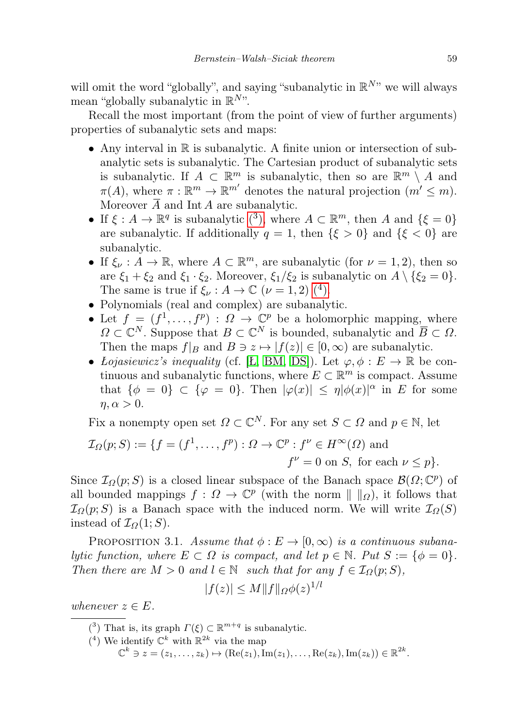will omit the word "globally", and saying "subanalytic in  $\mathbb{R}^{N}$ " we will always mean "globally subanalytic in  $\mathbb{R}^{N}$ ".

Recall the most important (from the point of view of further arguments) properties of subanalytic sets and maps:

- Any interval in  $\mathbb R$  is subanalytic. A finite union or intersection of subanalytic sets is subanalytic. The Cartesian product of subanalytic sets is subanalytic. If  $A \subset \mathbb{R}^m$  is subanalytic, then so are  $\mathbb{R}^m \setminus A$  and  $\pi(A)$ , where  $\pi: \mathbb{R}^m \to \mathbb{R}^{m'}$  denotes the natural projection  $(m' \leq m)$ . Moreover  $\overline{A}$  and Int A are subanalytic.
- If  $\xi : A \to \mathbb{R}^q$  is subanalytic  $(3)$ , where  $A \subset \mathbb{R}^m$ , then A and  $\{\xi = 0\}$ are subanalytic. If additionally  $q = 1$ , then  $\{\xi > 0\}$  and  $\{\xi < 0\}$  are subanalytic.
- If  $\xi_{\nu}: A \to \mathbb{R}$ , where  $A \subset \mathbb{R}^m$ , are subanalytic (for  $\nu = 1, 2$ ), then so are  $\xi_1 + \xi_2$  and  $\xi_1 \cdot \xi_2$ . Moreover,  $\xi_1/\xi_2$  is subanalytic on  $A \setminus {\xi_2 = 0}$ . The same is true if  $\xi_{\nu}: A \to \mathbb{C} \; (\nu = 1, 2) \; (4)$  $\xi_{\nu}: A \to \mathbb{C} \; (\nu = 1, 2) \; (4)$  $\xi_{\nu}: A \to \mathbb{C} \; (\nu = 1, 2) \; (4)$ .
- Polynomials (real and complex) are subanalytic.
- Let  $f = (f^1, \ldots, f^p) : \Omega \to \mathbb{C}^p$  be a holomorphic mapping, where  $\Omega \subset \mathbb{C}^N$ . Suppose that  $B \subset \mathbb{C}^N$  is bounded, subanalytic and  $\overline{B} \subset \Omega$ . Then the maps  $f|_B$  and  $B \ni z \mapsto |f(z)| \in [0, \infty)$  are subanalytic.
- Lojasiewicz's inequality (cf. [L, [BM,](#page-8-12) [DS\]](#page-8-13)). Let  $\varphi, \phi : E \to \mathbb{R}$  be continuous and subanalytic functions, where  $E \subset \mathbb{R}^m$  is compact. Assume that  $\{\phi = 0\} \subset \{\varphi = 0\}$ . Then  $|\varphi(x)| \leq \eta |\phi(x)|^{\alpha}$  in E for some  $\eta, \alpha > 0$ .

Fix a nonempty open set  $\Omega \subset \mathbb{C}^N$ . For any set  $S \subset \Omega$  and  $p \in \mathbb{N}$ , let

$$
\mathcal{I}_{\Omega}(p;S) := \{ f = (f^1, \dots, f^p) : \Omega \to \mathbb{C}^p : f^{\nu} \in H^{\infty}(\Omega) \text{ and } f^{\nu} = 0 \text{ on } S, \text{ for each } \nu \le p \}.
$$

Since  $\mathcal{I}_{\Omega}(p;S)$  is a closed linear subspace of the Banach space  $\mathcal{B}(\Omega;\mathbb{C}^p)$  of all bounded mappings  $f: \Omega \to \mathbb{C}^p$  (with the norm  $|| \, ||_{\Omega}$ ), it follows that  $\mathcal{I}_{\Omega}(p;S)$  is a Banach space with the induced norm. We will write  $\mathcal{I}_{\Omega}(S)$ instead of  $\mathcal{I}_{\Omega}(1;S)$ .

<span id="page-4-0"></span>PROPOSITION 3.1. Assume that  $\phi : E \to [0, \infty)$  is a continuous subanalytic function, where  $E \subset \Omega$  is compact, and let  $p \in \mathbb{N}$ . Put  $S := \{ \phi = 0 \}$ . Then there are  $M > 0$  and  $l \in \mathbb{N}$  such that for any  $f \in \mathcal{I}_{\Omega}(p;S)$ ,

$$
|f(z)|\leq M\|f\|_{\varOmega}\phi(z)^{1/l}
$$

whenever  $z \in E$ .

- <span id="page-4-1"></span>(<sup>3</sup>) That is, its graph  $\Gamma(\xi) \subset \mathbb{R}^{m+q}$  is subanalytic.
- <span id="page-4-2"></span><sup>(4)</sup> We identify  $\mathbb{C}^k$  with  $\mathbb{R}^{2k}$  via the map

 $\mathbb{C}^k \ni z = (z_1, \ldots, z_k) \mapsto (\text{Re}(z_1), \text{Im}(z_1), \ldots, \text{Re}(z_k), \text{Im}(z_k)) \in \mathbb{R}^{2k}.$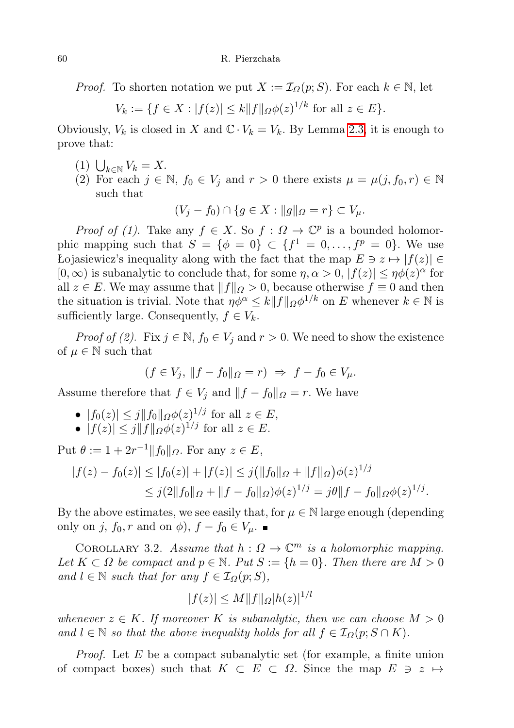*Proof.* To shorten notation we put  $X := \mathcal{I}_{\Omega}(p; S)$ . For each  $k \in \mathbb{N}$ , let

$$
V_k := \{ f \in X : |f(z)| \le k \| f \|_{\Omega} \phi(z)^{1/k} \text{ for all } z \in E \}.
$$

Obviously,  $V_k$  is closed in X and  $\mathbb{C} \cdot V_k = V_k$ . By Lemma [2.3,](#page-3-0) it is enough to prove that:

- (1)  $\bigcup_{k\in\mathbb{N}} V_k = X.$
- (2) For each  $j \in \mathbb{N}$ ,  $f_0 \in V_j$  and  $r > 0$  there exists  $\mu = \mu(j, f_0, r) \in \mathbb{N}$ such that

$$
(V_j - f_0) \cap \{ g \in X : ||g||_{\Omega} = r \} \subset V_{\mu}.
$$

*Proof of (1)*. Take any  $f \in X$ . So  $f : \Omega \to \mathbb{C}^p$  is a bounded holomorphic mapping such that  $S = \{ \phi = 0 \} \subset \{ f^1 = 0, \ldots, f^p = 0 \}$ . We use Łojasiewicz's inequality along with the fact that the map  $E \ni z \mapsto |f(z)|$  ∈  $[0, \infty)$  is subanalytic to conclude that, for some  $\eta, \alpha > 0$ ,  $|f(z)| \leq \eta \phi(z)^{\alpha}$  for all  $z \in E$ . We may assume that  $||f||_{\Omega} > 0$ , because otherwise  $f \equiv 0$  and then the situation is trivial. Note that  $\eta \phi^{\alpha} \leq k \|f\|_{\Omega} \phi^{1/k}$  on E whenever  $k \in \mathbb{N}$  is sufficiently large. Consequently,  $f \in V_k$ .

*Proof of (2).* Fix  $j \in \mathbb{N}$ ,  $f_0 \in V_j$  and  $r > 0$ . We need to show the existence of  $\mu \in \mathbb{N}$  such that

$$
(f \in V_j, ||f - f_0||_{\Omega} = r) \Rightarrow f - f_0 \in V_{\mu}.
$$

Assume therefore that  $f \in V_j$  and  $||f - f_0||_{\Omega} = r$ . We have

- $|f_0(z)| \leq j ||f_0||_{\Omega} \phi(z)^{1/j}$  for all  $z \in E$ ,
- $|f(z)| \leq j ||f||_{\Omega} \phi(z)^{1/j}$  for all  $z \in E$ .

Put  $\theta := 1 + 2r^{-1} ||f_0||_{\Omega}$ . For any  $z \in E$ ,

$$
|f(z) - f_0(z)| \le |f_0(z)| + |f(z)| \le j(\|f_0\|_{\Omega} + \|f\|_{\Omega})\phi(z)^{1/j}
$$
  

$$
\le j(2\|f_0\|_{\Omega} + \|f - f_0\|_{\Omega})\phi(z)^{1/j} = j\theta\|f - f_0\|_{\Omega}\phi(z)^{1/j}.
$$

By the above estimates, we see easily that, for  $\mu \in \mathbb{N}$  large enough (depending only on j,  $f_0, r$  and on  $\phi$ ),  $f - f_0 \in V_\mu$ .

<span id="page-5-0"></span>COROLLARY 3.2. Assume that  $h: \Omega \to \mathbb{C}^m$  is a holomorphic mapping. Let  $K \subset \Omega$  be compact and  $p \in \mathbb{N}$ . Put  $S := \{h = 0\}$ . Then there are  $M > 0$ and  $l \in \mathbb{N}$  such that for any  $f \in \mathcal{I}_{\Omega}(p;S)$ ,

$$
|f(z)| \le M \|f\|_{\Omega} |h(z)|^{1/l}
$$

whenever  $z \in K$ . If moreover K is subanalytic, then we can choose  $M > 0$ and  $l \in \mathbb{N}$  so that the above inequality holds for all  $f \in \mathcal{I}_{\Omega}(p; S \cap K)$ .

*Proof.* Let  $E$  be a compact subanalytic set (for example, a finite union of compact boxes) such that  $K \subset E \subset \Omega$ . Since the map  $E \ni z \mapsto$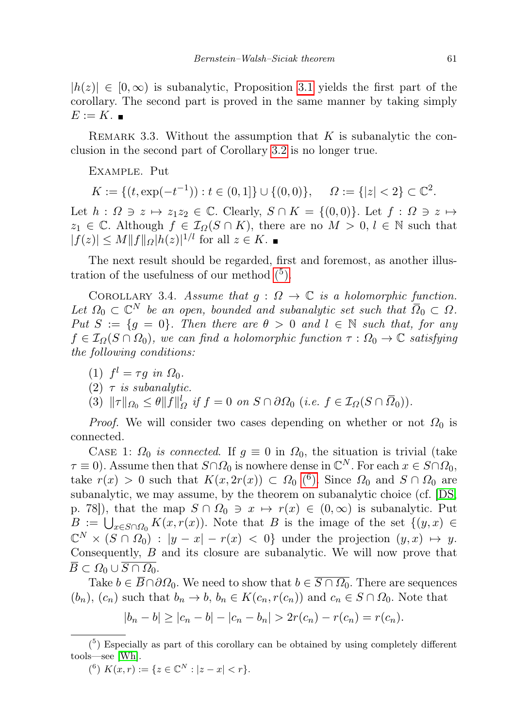$|h(z)| \in [0,\infty)$  is subanalytic, Proposition [3.1](#page-4-0) yields the first part of the corollary. The second part is proved in the same manner by taking simply  $E := K.$ 

REMARK 3.3. Without the assumption that  $K$  is subanalytic the conclusion in the second part of Corollary [3.2](#page-5-0) is no longer true.

Example. Put

$$
K := \{ (t, \exp(-t^{-1})) : t \in (0, 1] \} \cup \{ (0, 0) \}, \quad \Omega := \{ |z| < 2 \} \subset \mathbb{C}^2.
$$

Let  $h: \Omega \ni z \mapsto z_1z_2 \in \mathbb{C}$ . Clearly,  $S \cap K = \{(0,0)\}\)$ . Let  $f: \Omega \ni z \mapsto z_1z_2 \in \mathbb{C}$ . Clearly,  $S \cap K = \{(0,0)\}\$ .  $z_1 \in \mathbb{C}$ . Although  $f \in \mathcal{I}_{\Omega}(S \cap K)$ , there are no  $M > 0, l \in \mathbb{N}$  such that  $|f(z)| \le M \|f\|_{\Omega} |h(z)|^{1/l}$  for all  $z \in K$ .

The next result should be regarded, first and foremost, as another illustration of the usefulness of our method  $(5)$ .

<span id="page-6-2"></span>COROLLARY 3.4. Assume that  $g: \Omega \to \mathbb{C}$  is a holomorphic function. Let  $\Omega_0 \subset \mathbb{C}^N$  be an open, bounded and subanalytic set such that  $\overline{\Omega}_0 \subset \Omega$ . Put  $S := \{g = 0\}$ . Then there are  $\theta > 0$  and  $l \in \mathbb{N}$  such that, for any  $f \in \mathcal{I}_{\Omega}(S \cap \Omega_0)$ , we can find a holomorphic function  $\tau : \Omega_0 \to \mathbb{C}$  satisfying the following conditions:

- (1)  $f^l = \tau g$  in  $\Omega_0$ .
- (2)  $\tau$  is subanalytic.

(3)  $\|\tau\|_{\Omega_0} \leq \theta \|f\|_{\Omega}^l$  if  $f = 0$  on  $S \cap \partial \Omega_0$  (i.e.  $f \in \mathcal{I}_{\Omega}(S \cap \overline{\Omega}_0)$ ).

*Proof.* We will consider two cases depending on whether or not  $\Omega_0$  is connected.

CASE 1:  $\Omega_0$  is connected. If  $g \equiv 0$  in  $\Omega_0$ , the situation is trivial (take  $\tau \equiv 0$ ). Assume then that  $S \cap \Omega_0$  is nowhere dense in  $\mathbb{C}^N$ . For each  $x \in S \cap \Omega_0$ , take  $r(x) > 0$  such that  $K(x, 2r(x)) \subset \Omega_0$  (<sup>6</sup>[\).](#page-6-1) Since  $\Omega_0$  and  $S \cap \Omega_0$  are subanalytic, we may assume, by the theorem on subanalytic choice (cf. [\[DS,](#page-8-13) p. 78]), that the map  $S \cap \Omega_0 \ni x \mapsto r(x) \in (0, \infty)$  is subanalytic. Put  $B := \bigcup_{x \in S \cap \Omega_0} K(x, r(x))$ . Note that B is the image of the set  $\{(y, x) \in S \cap \Omega_0 \}$  $\mathbb{C}^N\times (S\cap\varOmega_0)$  :  $|y-x|-r(x)|<\varOmega\}$  under the projection  $(y,x)\,\mapsto\,y.$ Consequently, B and its closure are subanalytic. We will now prove that  $\overline{B} \subset \Omega_0 \cup \overline{S \cap \Omega_0}.$ 

Take  $b \in \overline{B} \cap \partial \Omega_0$ . We need to show that  $b \in \overline{S \cap \Omega_0}$ . There are sequences  $(b_n)$ ,  $(c_n)$  such that  $b_n \to b$ ,  $b_n \in K(c_n, r(c_n))$  and  $c_n \in S \cap \Omega_0$ . Note that

<span id="page-6-0"></span> $|b_n - b| \ge |c_n - b| - |c_n - b_n| > 2r(c_n) - r(c_n) = r(c_n).$ 

<span id="page-6-1"></span>(<sup>6</sup>)  $K(x,r) := \{ z \in \mathbb{C}^N : |z - x| < r \}.$ 

 $(5)$  Especially as part of this corollary can be obtained by using completely different tools—see [\[Wh\]](#page-8-16).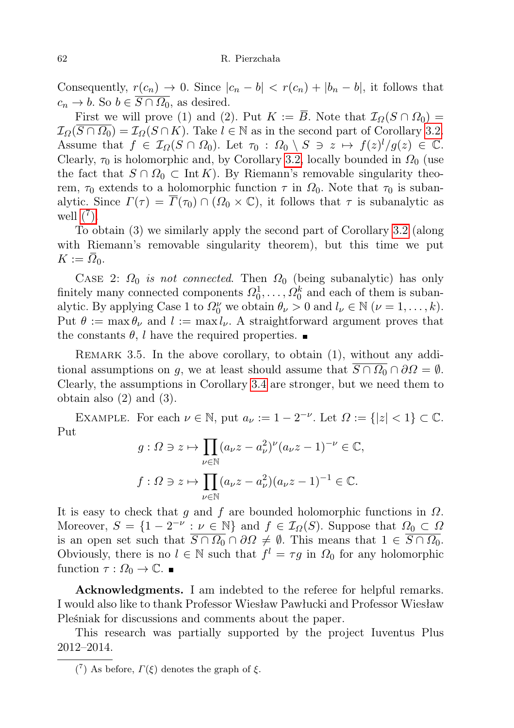Consequently,  $r(c_n) \to 0$ . Since  $|c_n - b| < r(c_n) + |b_n - b|$ , it follows that  $c_n \to b$ . So  $b \in \overline{S \cap \Omega_0}$ , as desired.

First we will prove (1) and (2). Put  $K := \overline{B}$ . Note that  $\mathcal{I}_{\Omega}(S \cap \Omega_0) =$  $\mathcal{I}_{\Omega}(\overline{S \cap \Omega_0}) = \mathcal{I}_{\Omega}(S \cap K)$ . Take  $l \in \mathbb{N}$  as in the second part of Corollary [3.2.](#page-5-0) Assume that  $f \in \mathcal{I}_{\Omega}(S \cap \Omega_0)$ . Let  $\tau_0 : \Omega_0 \setminus S \ni z \mapsto f(z)^l/g(z) \in \mathbb{C}$ . Clearly,  $\tau_0$  is holomorphic and, by Corollary [3.2,](#page-5-0) locally bounded in  $\Omega_0$  (use the fact that  $S \cap \Omega_0 \subset \text{Int } K$ . By Riemann's removable singularity theorem,  $\tau_0$  extends to a holomorphic function  $\tau$  in  $\Omega_0$ . Note that  $\tau_0$  is subanalytic. Since  $\Gamma(\tau) = \overline{\Gamma}(\tau_0) \cap (\Omega_0 \times \mathbb{C})$ , it follows that  $\tau$  is subanalytic as well  $(^{7})$ .

To obtain (3) we similarly apply the second part of Corollary [3.2](#page-5-0) (along with Riemann's removable singularity theorem), but this time we put  $K := \overline{\Omega}_0.$ 

CASE 2:  $\Omega_0$  is not connected. Then  $\Omega_0$  (being subanalytic) has only finitely many connected components  $\Omega_0^1, \ldots, \Omega_0^k$  and each of them is subanalytic. By applying Case 1 to  $\Omega_0^{\nu}$  we obtain  $\theta_{\nu} > 0$  and  $l_{\nu} \in \mathbb{N}$   $(\nu = 1, \ldots, k)$ . Put  $\theta := \max \theta_{\nu}$  and  $l := \max l_{\nu}$ . A straightforward argument proves that the constants  $\theta$ , l have the required properties.

REMARK 3.5. In the above corollary, to obtain  $(1)$ , without any additional assumptions on g, we at least should assume that  $\overline{S \cap \Omega_0} \cap \partial \Omega = \emptyset$ . Clearly, the assumptions in Corollary [3.4](#page-6-2) are stronger, but we need them to obtain also (2) and (3).

EXAMPLE. For each  $\nu \in \mathbb{N}$ , put  $a_{\nu} := 1 - 2^{-\nu}$ . Let  $\Omega := \{|z| < 1\} \subset \mathbb{C}$ . Put

$$
g: \Omega \ni z \mapsto \prod_{\nu \in \mathbb{N}} (a_{\nu}z - a_{\nu}^2)^{\nu} (a_{\nu}z - 1)^{-\nu} \in \mathbb{C},
$$
  

$$
f: \Omega \ni z \mapsto \prod_{\nu \in \mathbb{N}} (a_{\nu}z - a_{\nu}^2)(a_{\nu}z - 1)^{-1} \in \mathbb{C}.
$$

It is easy to check that q and f are bounded holomorphic functions in  $\Omega$ . Moreover,  $S = \{1 - 2^{-\nu} : \nu \in \mathbb{N}\}\$ and  $f \in \mathcal{I}_{\Omega}(S)$ . Suppose that  $\Omega_0 \subset \Omega$ is an open set such that  $\overline{S \cap \Omega_0} \cap \partial \Omega \neq \emptyset$ . This means that  $1 \in \overline{S \cap \Omega_0}$ . Obviously, there is no  $l \in \mathbb{N}$  such that  $f^l = \tau g$  in  $\Omega_0$  for any holomorphic function  $\tau : \Omega_0 \to \mathbb{C}$ .

Acknowledgments. I am indebted to the referee for helpful remarks. I would also like to thank Professor Wiesław Pawłucki and Professor Wiesław Pleśniak for discussions and comments about the paper.

This research was partially supported by the project Iuventus Plus 2012–2014.

<span id="page-7-0"></span><sup>(&</sup>lt;sup>7</sup>) As before,  $\Gamma(\xi)$  denotes the graph of  $\xi$ .